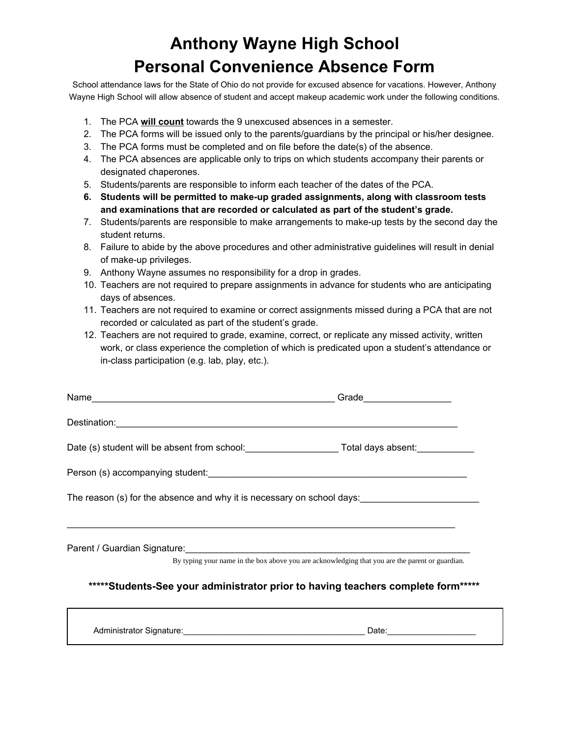## **Anthony Wayne High School Personal Convenience Absence Form**

School attendance laws for the State of Ohio do not provide for excused absence for vacations. However, Anthony Wayne High School will allow absence of student and accept makeup academic work under the following conditions.

- 1. The PCA **will count** towards the 9 unexcused absences in a semester.
- 2. The PCA forms will be issued only to the parents/guardians by the principal or his/her designee.
- 3. The PCA forms must be completed and on file before the date(s) of the absence.
- 4. The PCA absences are applicable only to trips on which students accompany their parents or designated chaperones.
- 5. Students/parents are responsible to inform each teacher of the dates of the PCA.
- **6. Students will be permitted to make-up graded assignments, along with classroom tests and examinations that are recorded or calculated as part of the student's grade.**
- 7. Students/parents are responsible to make arrangements to make-up tests by the second day the student returns.
- 8. Failure to abide by the above procedures and other administrative guidelines will result in denial of make-up privileges.
- 9. Anthony Wayne assumes no responsibility for a drop in grades.
- 10. Teachers are not required to prepare assignments in advance for students who are anticipating days of absences.
- 11. Teachers are not required to examine or correct assignments missed during a PCA that are not recorded or calculated as part of the student's grade.
- 12. Teachers are not required to grade, examine, correct, or replicate any missed activity, written work, or class experience the completion of which is predicated upon a student's attendance or in-class participation (e.g. lab, play, etc.).

|                                                                                                 | Grade ___________________ |  |
|-------------------------------------------------------------------------------------------------|---------------------------|--|
|                                                                                                 |                           |  |
| Date (s) student will be absent from school: Total days absent:                                 |                           |  |
|                                                                                                 |                           |  |
| The reason (s) for the absence and why it is necessary on school days:                          |                           |  |
|                                                                                                 |                           |  |
|                                                                                                 |                           |  |
| By typing your name in the box above you are acknowledging that you are the parent or guardian. |                           |  |
| *****Students-See your administrator prior to having teachers complete form*****                |                           |  |

Administrator Signature: etc. Administrator Signature: